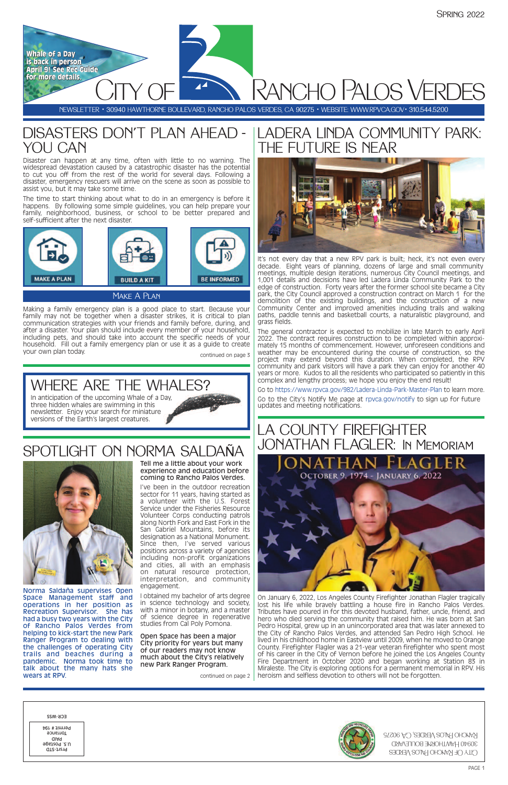

# SPOTLIGHT ON NORMA SALDAÑA



Tell me a little about your work experience and education before coming to Rancho Palos Verdes.



I've been in the outdoor recreation sector for 11 years, having started as a volunteer with the U.S. Forest Service under the Fisheries Resource Volunteer Corps conducting patrols along North Fork and East Fork in the San Gabriel Mountains, before its designation as a National Monument. Since then, I've served various positions across a variety of agencies including non-profit organizations and cities, all with an emphasis on natural resource protection, interpretation, and community engagement.

I obtained my bachelor of arts degree in science technology and society, with a minor in botany, and a master of science degree in regenerative studies from Cal Poly Pomona.

Open Space has been a major City priority for years but many of our readers may not know much about the City's relatively new Park Ranger Program.

### DISASTERS DON'T PLAN AHEAD - YOU CAN





Norma Saldaña supervises Open Space Management staff and operations in her position as Recreation Supervisor. She has had a busy two years with the City of Rancho Palos Verdes from helping to kick-start the new Park Ranger Program to dealing with the challenges of operating City trails and beaches during a pandemic. Norma took time to talk about the many hats she wears at RPV.

## LADERA LINDA COMMUNITY PARK: THE FUTURE IS NEAR



On January 6, 2022, Los Angeles County Firefighter Jonathan Flagler tragically lost his life while bravely battling a house fire in Rancho Palos Verdes. Tributes have poured in for this devoted husband, father, uncle, friend, and hero who died serving the community that raised him. He was born at San Pedro Hospital, grew up in an unincorporated area that was later annexed to the City of Rancho Palos Verdes, and attended San Pedro High School. He lived in his childhood home in Eastview until 2009, when he moved to Orange County. Firefighter Flagler was a 21-year veteran firefighter who spent most of his career in the City of Vernon before he joined the Los Angeles County Fire Department in October 2020 and began working at Station 83 in Miraleste. The City is exploring options for a permanent memorial in RPV. His continued on page 2 heroism and selfless devotion to others will not be forgotten.

Making a family emergency plan is a good place to start. Because your family may not be together when a disaster strikes, it is critical to plan communication strategies with your friends and family before, during, and after a disaster. Your plan should include every member of your household, including pets, and should take into account the specific needs of your household. Fill out a family emergency plan or use it as a guide to create your own plan today. The same state of the continued on page 3

Make A Plan

# WHERE ARE THE WHALES?

In anticipation of the upcoming Whale of a Day, three hidden whales are swimming in this newsletter. Enjoy your search for miniature versions of the Earth's largest creatures.

Disaster can happen at any time, often with little to no warning. The widespread devastation caused by a catastrophic disaster has the potential to cut you off from the rest of the world for several days. Following a disaster, emergency rescuers will arrive on the scene as soon as possible to assist you, but it may take some time.

The time to start thinking about what to do in an emergency is before it happens. By following some simple guidelines, you can help prepare your family, neighborhood, business, or school to be better prepared and self-sufficient after the next disaster.



It's not every day that a new RPV park is built; heck, it's not even every decade. Eight years of planning, dozens of large and small community meetings, multiple design iterations, numerous City Council meetings, and 1,001 details and decisions have led Ladera Linda Community Park to the edge of construction. Forty years after the former school site became a City park, the City Council approved a construction contract on March 1 for the demolition of the existing buildings, and the construction of a new Community Center and improved amenities including trails and walking paths, paddle tennis and basketball courts, a naturalistic playground, and grass fields.

The general contractor is expected to mobilize in late March to early April 2022. The contract requires construction to be completed within approximately 15 months of commencement. However, unforeseen conditions and weather may be encountered during the course of construction, so the project may extend beyond this duration. When completed, the RPV community and park visitors will have a park they can enjoy for another 40 years or more. Kudos to all the residents who participated so patiently in this complex and lengthy process; we hope you enjoy the end result!

Go to https://www.rpvca.gov/982/Ladera-Linda-Park-Master-Plan to learn more.

Go to the City's Notify Me page at [rpvca.gov/notify](http://rpvca.gov/notify) to sign up for future updates and meeting notifications.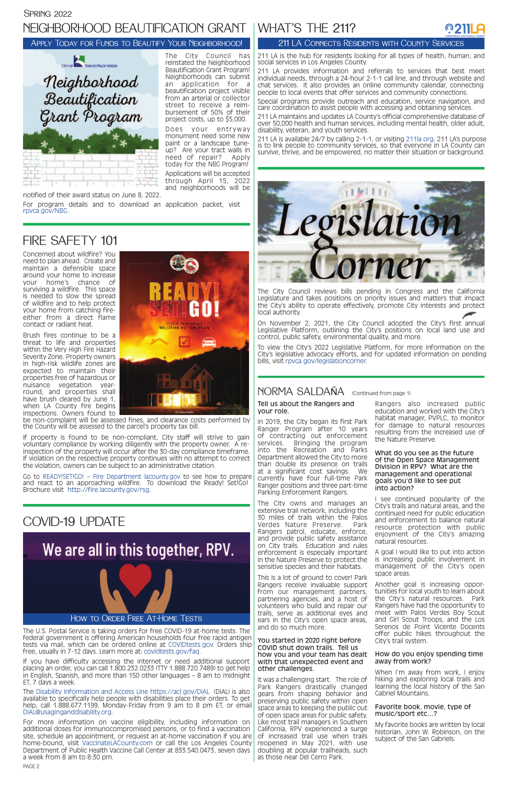Concerned about wildfire? You need to plan ahead. Create and maintain a defensible space around your home to increase your home's chance of surviving a wildfire. This space is needed to slow the spread of wildfire and to help protect your home from catching fireeither from a direct flame contact or radiant heat.

Brush fires continue to be a threat to life and properties within the Very High Fire Hazard Severity Zone. Property owners in high-risk wildlife zones are expected to maintain their properties free of hazardous or nuisance vegetation yearround, and properties shall have brush cleared by June 1, when LA County fire begins inspections. Owners found to



be non-complaint will be assessed fines, and clearance costs performed by the County will be assessed to the parcel's property tax bill.

If property is found to be non-compliant, City staff will strive to gain voluntary compliance by working diligently with the property owner. A reinspection of the property will occur after the 30-day compliance timeframe. If violation on the respective property continues with no attempt to correct the violation, owners can be subject to an administrative citation.

Go to [READY!SET!GO! – Fire Department lacounty.gov](https://fire.lacounty.gov/rsg/) to see how to prepare and react to an approaching wildfire. To download the Ready! Set!Go! Brochure visit http://fire.lacounty.gov/rsg.

#### Spring 2022

# NEIGHBORHOOD BEAUTIFICATION GRANT | WHAT'S THE 211?

### COVID-19 UPDATE

# We are all in this together, RPV.



The City Council has reinstated the Neighborhood Beautification Grant Program! Neighborhoods can submit an application for a beautification project visible from an arterial or collector street to receive a reimbursement of 50% of their project costs, up to \$5,000.

> Inis is a lot of ground to cover! Park Rangers receive invaluable support from our management partners, partnering agencies, and a host of volunteers who build and repair our trails, serve as additional eyes and ears in the City's open space areas, and do so much more.

Does your entryway monument need some new paint or a landscape tuneup? Are your tract walls in need of repair? Apply today for the NBG Program!

Applications will be accepted through April 15, 2022 and neighborhoods will be

notified of their award status on June 8, 2022.

For program details and to download an application packet, visit [rpvca.gov/NBG.](https://rpvca.gov/1458/Neighborhood-Beautification-Grant-Progra)

### FIRE SAFETY 101

#### Tell us about the Rangers and your role.

In 2019, the City began its first Park Ranger Program after 10 years of contracting out enforcement services. Bringing the program into the Recreation and Parks Department allowed the City to more than double its presence on trails at a significant cost savings. We currently have four full-time Park Ranger positions and three part-time Parking Enforcement Rangers.

The City owns and manages an extensive trail network, including the 30 miles of trails within the Palos Verdes Nature Preserve. Park Rangers patrol, educate, enforce, and provide public safety assistance on City trails. Education and rules enforcement is especially important in the Nature Preserve to protect the sensitive species and their habitats.

You started in 2020 right before COVID shut down trails. Tell us how you and your team has dealt with that unexpected event and other challenges.

It was a challenging start. The role of Park Rangers drastically changed gears from shaping behavior and preserving public safety within open space areas to keeping the public out of open space areas for public safety. Like most trail managers in Southern California, RPV experienced a surge of increased trail use when trails reopened in May 2021, with use doubling at popular trailheads, such as those near Del Cerro Park.

Rangers also increased public education and worked with the City's habitat manager, PVPLC, to monitor for damage to natural resources resulting from the increased use of the Nature Preserve.

#### What do you see as the future of the Open Space Management Division in RPV? What are the management and operational goals you'd like to see put into action?

I see continued popularity of the City's trails and natural areas, and the continued need for public education and enforcement to balance natural resource protection with public enjoyment of the City's amazing natural resources.

A goal I would like to put into action is increasing public involvement in management of the City's open space areas.

Another goal is increasing opportunities for local youth to learn about the City's natural resources. Park Rangers have had the opportunity to meet with Palos Verdes Boy Scout and Girl Scout Troops, and the Los Serenos de Point Vicente Docents offer public hikes throughout the City's trail system.

#### How do you enjoy spending time away from work?

When I'm away from work, I enjoy hiking and exploring local trails and learning the local history of the San Gabriel Mountains.

#### Favorite book, movie, type of music/sport etc…?

My favorite books are written by local historian, John W. Robinson, on the subject of the San Gabriels.

#### Apply Today for Funds to Beautify Your Neighborhood!



The U.S. Postal Service is taking orders for free COVID-19 at-home tests. The federal government is offering American households four free rapid antigen tests via mail, which can be ordered online at [COVIDtests.gov.](https://www.covidtests.gov/) Orders ship free, usually in 7-12 days. Learn more at: [covidtests.gov/faq.](https://www.covidtests.gov/faq)

If you have difficulty accessing the internet or need additional support placing an order, you can call 1.800.232.0233 (TTY 1.888.720.7489) to get help in English, Spanish, and more than 150 other languages – 8 am to midnight ET, 7 days a week.

The Disability Information and Access Line https://acl.gov/DIAL (DIAL) is also available to specifically help people with disabilities place their orders. To get help, call 1.888.677.1199, Monday-Friday from 9 am to 8 pm ET, or email DIAL@usaginganddisability.org.

For more information on vaccine eligibility, including information on additional doses for immunocompromised persons, or to find a vaccination site, schedule an appointment, or request an at-home vaccination if you are home-bound, visit [VaccinateLACounty.com](http://www.publichealth.lacounty.gov/media/Coronavirus/vaccine/index.htm) or call the Los Angeles County Department of Public Health Vaccine Call Center at 833.540.0473, seven days a week from 8 am to 8:30 pm.

PAGE 2



211 LA is the hub for residents looking for all types of health, human, and social services in Los Angeles County.

211 LA provides information and referrals to services that best meet individual needs, through a 24-hour 2-1-1 call line, and through website and chat services. It also provides an online community calendar, connecting people to local events that offer services and community connections.

Special programs provide outreach and education, service navigation, and care coordination to assist people with accessing and obtaining services.

211 LA maintains and updates LA County's official comprehensive database of over 50,000 health and human services, including mental health, older adult, disability, veteran, and youth services.

211 LA is available 24/7 by calling 2-1-1, or visiting [211la.org](https://211la.org/). 211 LA's purpose is to link people to community services, so that everyone in LA County can survive, thrive, and be empowered, no matter their situation or background.



#### 211 LA Connects Residents with County Services

The City Council reviews bills pending in Congress and the California Legislature and takes positions on priority issues and matters that impact the City's ability to operate effectively, promote City interests and protect local authority.

On November 2, 2021, the City Council adopted the City's first annual Legislative Platform, outlining the City's positions on local land use and control, public safety, environmental quality, and more.

To view the City's 2022 Legislative Platform, for more information on the City's legislative advocacy efforts, and for updated information on pending bills, visit [rpvca.gov/legislationcorner.](https://rpvca.gov/1357/Legislation-Corner)

### NORMA SALDAÑA (Continued from page 1)